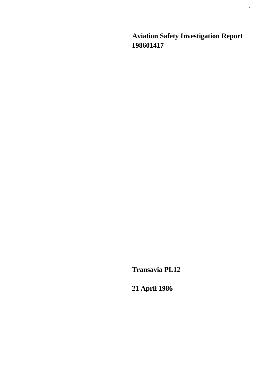**Aviation Safety Investigation Report 198601417** 

**Transavia PL12** 

**21 April 1986**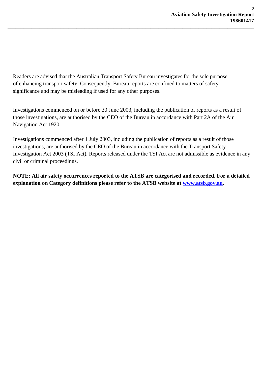Readers are advised that the Australian Transport Safety Bureau investigates for the sole purpose of enhancing transport safety. Consequently, Bureau reports are confined to matters of safety significance and may be misleading if used for any other purposes.

**\_\_\_\_\_\_\_\_\_\_\_\_\_\_\_\_\_\_\_\_\_\_\_\_\_\_\_\_\_\_\_\_\_\_\_\_\_\_\_\_\_\_\_\_\_\_\_\_\_\_\_\_\_\_\_\_\_\_\_\_\_\_\_\_\_\_\_\_\_\_\_\_\_\_\_\_\_\_\_\_\_\_\_\_\_\_\_\_\_\_\_\_\_** 

Investigations commenced on or before 30 June 2003, including the publication of reports as a result of those investigations, are authorised by the CEO of the Bureau in accordance with Part 2A of the Air Navigation Act 1920.

Investigations commenced after 1 July 2003, including the publication of reports as a result of those investigations, are authorised by the CEO of the Bureau in accordance with the Transport Safety Investigation Act 2003 (TSI Act). Reports released under the TSI Act are not admissible as evidence in any civil or criminal proceedings.

**NOTE: All air safety occurrences reported to the ATSB are categorised and recorded. For a detailed explanation on Category definitions please refer to the ATSB website at [www.atsb.gov.au](http://www.atsb.gov.au/).**